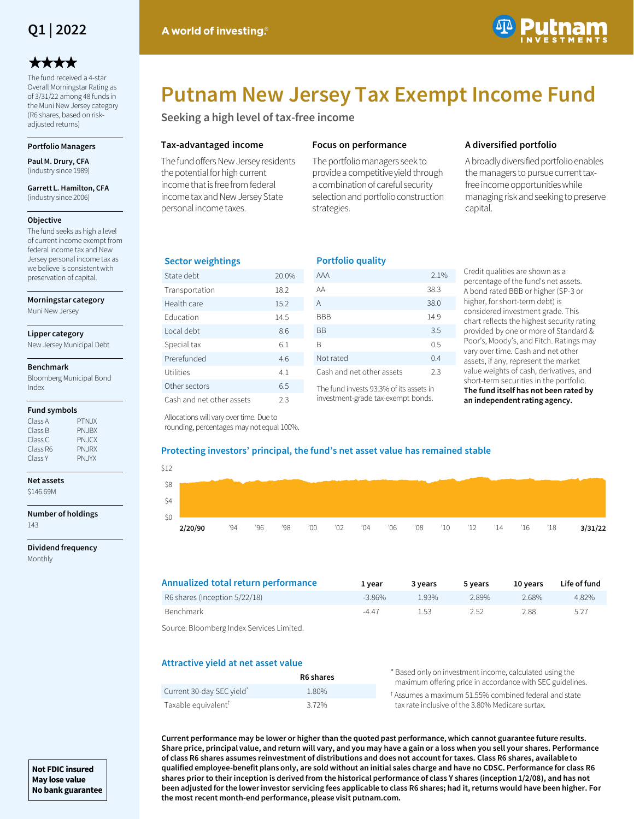

# \*\*\*\*

The fund received a 4-star Overall Morningstar Rating as of 3/31/22 among 48 funds in the Muni New Jersey category (R6 shares, based on riskadjusted returns)

### **Portfolio Managers**

**Paul M. Drury, CFA**  (industry since 1989)

**Garrett L. Hamilton, CFA**  (industry since 2006)

#### **Objective**

The fund seeks as high a level of current income exempt from federal income tax and New Jersey personal income tax as we believe is consistent with preservation of capital.

**Morningstar category**

Muni New Jersey

#### **Lipper category**

New Jersey Municipal Debt

#### **Benchmark**

Bloomberg Municipal Bond Index

#### **Fund symbols**

| Class A  | PTN.JX |
|----------|--------|
| Class B  | PN.JBX |
| Class C  | PN.JCX |
| Class R6 | PN.JRX |
| Class Y  | PN.JYX |
|          |        |

## **Net assets**

\$146.69M

**Number of holdings** 143

**Dividend frequency** Monthly



# **Putnam New Jersey Tax Exempt Income Fund**

**Seeking a high level of tax-free income**

## **Tax-advantaged income**

The fund offers New Jersey residents the potential for high current income that is free from federal income tax and New Jersey State personal income taxes.

## **Focus on performance**

The portfolio managers seek to provide a competitive yield through a combination of careful security selection and portfolio construction strategies.

## **A diversified portfolio**

A broadly diversified portfolio enables the managers to pursue current taxfree income opportunities while managing risk and seeking to preserve capital.

## **Sector weightings**

| State debt                | 20.0% |
|---------------------------|-------|
| Transportation            | 18.2  |
| Health care               | 15.2  |
| <b>Education</b>          | 14.5  |
| Local debt                | 8.6   |
| Special tax               | 6.1   |
| Prerefunded               | 46    |
| Utilities                 | 4.1   |
| Other sectors             | 6.5   |
| Cash and net other assets | 2.3   |

| <b>Portfolio quality</b>  |      |
|---------------------------|------|
| AAA                       | 2.1% |
| ΑA                        | 38.3 |
| A                         | 38.0 |
| BBB                       | 14.9 |
| ВB                        | 3.5  |
| R                         | 0.5  |
| Not rated                 | 0.4  |
| Cash and net other assets | 23   |

The fund invests 93.3% of its assets in investment-grade tax-exempt bonds.

Credit qualities are shown as a percentage of the fund's net assets. A bond rated BBB or higher (SP-3 or higher, for short-term debt) is considered investment grade. This chart reflects the highest security rating provided by one or more of Standard & Poor's, Moody's, and Fitch. Ratings may vary over time. Cash and net other assets, if any, represent the market value weights of cash, derivatives, and short-term securities in the portfolio. **The fund itself has not been rated by an independent rating agency.**

Allocations will vary over time. Due to rounding, percentages may not equal 100%.

## **Protecting investors' principal, the fund's net asset value has remained stable**

| \$12 |         |     |     |    |     |     |               |     |     |               |     |     |     |     |         |
|------|---------|-----|-----|----|-----|-----|---------------|-----|-----|---------------|-----|-----|-----|-----|---------|
| \$8  |         |     |     |    |     |     |               |     |     |               |     |     |     |     |         |
| \$4  |         |     |     |    |     |     |               |     |     |               |     |     |     |     |         |
| \$0  |         |     |     |    |     |     |               |     |     |               |     |     |     |     |         |
|      | 2/20/90 | '94 | '96 | 98 | 00' | '02 | $^{\prime}04$ | '06 | '08 | $^{\prime}10$ | '12 | '14 | '16 | '18 | 3/31/22 |

| Annualized total return performance                  | 1 vear    | 3 years | 5 years | 10 vears | Life of fund |
|------------------------------------------------------|-----------|---------|---------|----------|--------------|
| R6 shares (Inception 5/22/18)                        | $-3.86\%$ | 1.93%   | 2.89%   | 2.68%    | 4.82%        |
| Benchmark                                            | $-4.47$   | 1.53    | 2.52    | 2.88     | 5.27         |
| . Carriera : Dia analysis and an una caracteristical |           |         |         |          |              |

Source: Bloomberg Index Services Limited.

## **Attractive yield at net asset value**

|                                 | R6 shares | * Based only on investment income, calculated using the<br>maximum offering price in accordance with SEC guidelines. |
|---------------------------------|-----------|----------------------------------------------------------------------------------------------------------------------|
| Current 30-day SEC yield*       | 1.80%     | <sup>t</sup> Assumes a maximum 51.55% combined federal and state                                                     |
| Taxable equivalent <sup>T</sup> | 3.72%     | tax rate inclusive of the 3.80% Medicare surtax.                                                                     |

**Current performance may be lower or higher than the quoted past performance, which cannot guarantee future results. Share price, principal value, and return will vary, and you may have a gain or a loss when you sell your shares. Performance of class R6 shares assumes reinvestment of distributions and does not account for taxes. Class R6 shares, available to qualified employee-benefit plans only, are sold without an initial sales charge and have no CDSC. Performance for class R6 shares prior to their inception is derived from the historical performance of class Y shares (inception 1/2/08), and has not been adjusted for the lower investor servicing fees applicable to class R6 shares; had it, returns would have been higher. For the most recent month-end performance, please visit putnam.com.**